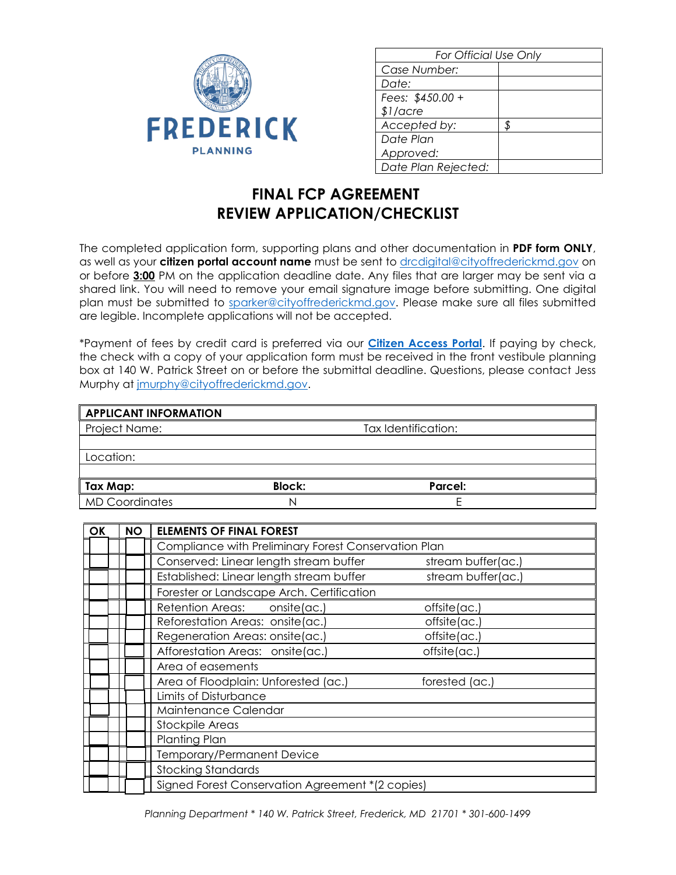

| For Official Use Only |  |  |
|-----------------------|--|--|
| Case Number:          |  |  |
| Date:                 |  |  |
| Fees: \$450.00 +      |  |  |
| \$1/acre              |  |  |
| Accepted by:          |  |  |
| Date Plan             |  |  |
| Approved:             |  |  |
| Date Plan Rejected:   |  |  |

## **FINAL FCP AGREEMENT REVIEW APPLICATION/CHECKLIST**

The completed application form, supporting plans and other documentation in **PDF form ONLY**, as well as your **citizen portal account name** must be sent to [drcdigital@cityoffrederickmd.gov](mailto:drcdigital@cityoffrederickmd.gov) on or before **3:00** PM on the application deadline date. Any files that are larger may be sent via a shared link. You will need to remove your email signature image before submitting. One digital plan must be submitted to [sparker@cityoffrederickmd.gov.](mailto:sparker@cityoffrederickmd.gov) Please make sure all files submitted are legible. Incomplete applications will not be accepted.

\*Payment of fees by credit card is preferred via our **[Citizen Access Portal](https://gcc02.safelinks.protection.outlook.com/?url=https%3A%2F%2Fcitizenaccess.cityoffrederick.com%2Fcitizenaccess%2F&data=02%7C01%7Cgcollard%40cityoffrederickmd.gov%7Cad3d08217e17487711b308d7d4cd9765%7Cc379f8550dee4b099f890cee3aa7f761%7C0%7C0%7C637211851779890394&sdata=fTC85eZgbuzzFKzq%2Fio%2FHxCILWPquIWiY8bsVzLfTtM%3D&reserved=0)**. If paying by check, the check with a copy of your application form must be received in the front vestibule planning box at 140 W. Patrick Street on or before the submittal deadline. Questions, please contact Jess Murphy at [jmurphy@cityoffrederickmd.gov.](mailto:jmurphy@cityoffrederickmd.gov)

| <b>APPLICANT INFORMATION</b> |               |                     |  |  |
|------------------------------|---------------|---------------------|--|--|
| Project Name:                |               | Tax Identification: |  |  |
|                              |               |                     |  |  |
| Location:                    |               |                     |  |  |
|                              |               |                     |  |  |
| Tax Map:                     | <b>Block:</b> | Parcel:             |  |  |
| <b>MD Coordinates</b>        |               |                     |  |  |

| <b>OK</b> | <b>NO</b> | <b>ELEMENTS OF FINAL FOREST</b>                      |                    |
|-----------|-----------|------------------------------------------------------|--------------------|
|           |           | Compliance with Preliminary Forest Conservation Plan |                    |
|           |           | Conserved: Linear length stream buffer               | stream buffer(ac.) |
|           |           | Established: Linear length stream buffer             | stream buffer(ac.) |
|           |           | Forester or Landscape Arch. Certification            |                    |
|           |           | Retention Areas: onsite(ac.)                         | offsete(ac.)       |
|           |           | Reforestation Areas: onsite(ac.)                     | offsite(ac.)       |
|           |           | Regeneration Areas: onsite(ac.)                      | offsite(ac.)       |
|           |           | Afforestation Areas: onsite(ac.)                     | offsite(ac.)       |
|           |           | Area of easements                                    |                    |
|           |           | Area of Floodplain: Unforested (ac.)                 | forested (ac.)     |
|           |           | Limits of Disturbance                                |                    |
|           |           | Maintenance Calendar                                 |                    |
|           |           | Stockpile Areas                                      |                    |
|           |           | Planting Plan                                        |                    |
|           |           | Temporary/Permanent Device                           |                    |
|           |           | <b>Stocking Standards</b>                            |                    |
|           |           | Signed Forest Conservation Agreement *(2 copies)     |                    |